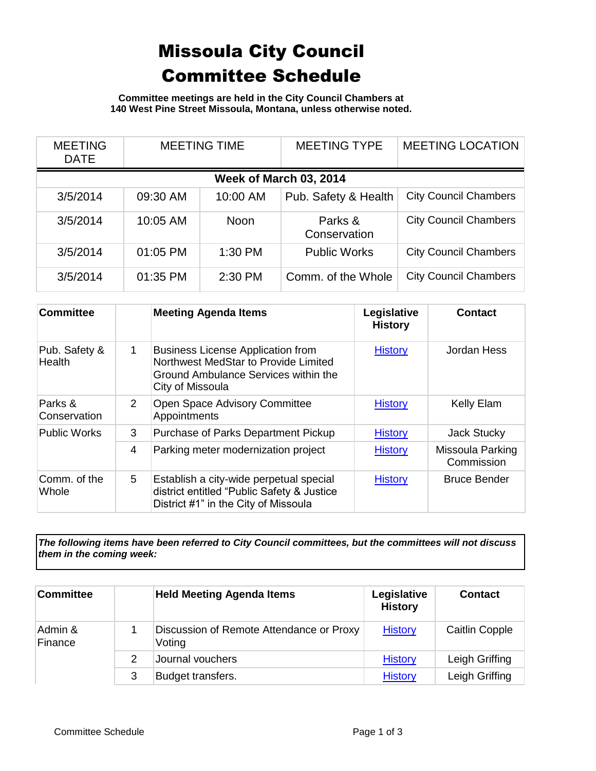## Missoula City Council Committee Schedule

**Committee meetings are held in the City Council Chambers at 140 West Pine Street Missoula, Montana, unless otherwise noted.**

| <b>MEETING</b><br><b>DATE</b> | <b>MEETING TIME</b> |             | <b>MEETING TYPE</b>     | <b>MEETING LOCATION</b>      |  |
|-------------------------------|---------------------|-------------|-------------------------|------------------------------|--|
| <b>Week of March 03, 2014</b> |                     |             |                         |                              |  |
| 3/5/2014                      | 09:30 AM            | 10:00 AM    | Pub. Safety & Health    | <b>City Council Chambers</b> |  |
| 3/5/2014                      | 10:05 AM            | <b>Noon</b> | Parks &<br>Conservation | <b>City Council Chambers</b> |  |
| 3/5/2014                      | 01:05 PM            | 1:30 PM     | <b>Public Works</b>     | <b>City Council Chambers</b> |  |
| 3/5/2014                      | 01:35 PM            | 2:30 PM     | Comm. of the Whole      | <b>City Council Chambers</b> |  |

| <b>Committee</b>        |   | <b>Meeting Agenda Items</b>                                                                                                                  | Legislative<br><b>History</b> | <b>Contact</b>                 |
|-------------------------|---|----------------------------------------------------------------------------------------------------------------------------------------------|-------------------------------|--------------------------------|
| Pub. Safety &<br>Health | 1 | <b>Business License Application from</b><br>Northwest MedStar to Provide Limited<br>Ground Ambulance Services within the<br>City of Missoula | <b>History</b>                | Jordan Hess                    |
| Parks &<br>Conservation | 2 | Open Space Advisory Committee<br>Appointments                                                                                                | <b>History</b>                | <b>Kelly Elam</b>              |
| <b>Public Works</b>     | 3 | Purchase of Parks Department Pickup                                                                                                          | <b>History</b>                | Jack Stucky                    |
|                         | 4 | Parking meter modernization project                                                                                                          | <b>History</b>                | Missoula Parking<br>Commission |
| Comm. of the<br>Whole   | 5 | Establish a city-wide perpetual special<br>district entitled "Public Safety & Justice<br>District #1" in the City of Missoula                | <b>History</b>                | <b>Bruce Bender</b>            |

*The following items have been referred to City Council committees, but the committees will not discuss them in the coming week:*

| <b>Committee</b>   | <b>Held Meeting Agenda Items</b>                   | Legislative<br><b>History</b> | <b>Contact</b>        |
|--------------------|----------------------------------------------------|-------------------------------|-----------------------|
| Admin &<br>Finance | Discussion of Remote Attendance or Proxy<br>Voting | <b>History</b>                | <b>Caitlin Copple</b> |
|                    | Journal vouchers                                   | <b>History</b>                | Leigh Griffing        |
|                    | Budget transfers.                                  | <b>History</b>                | Leigh Griffing        |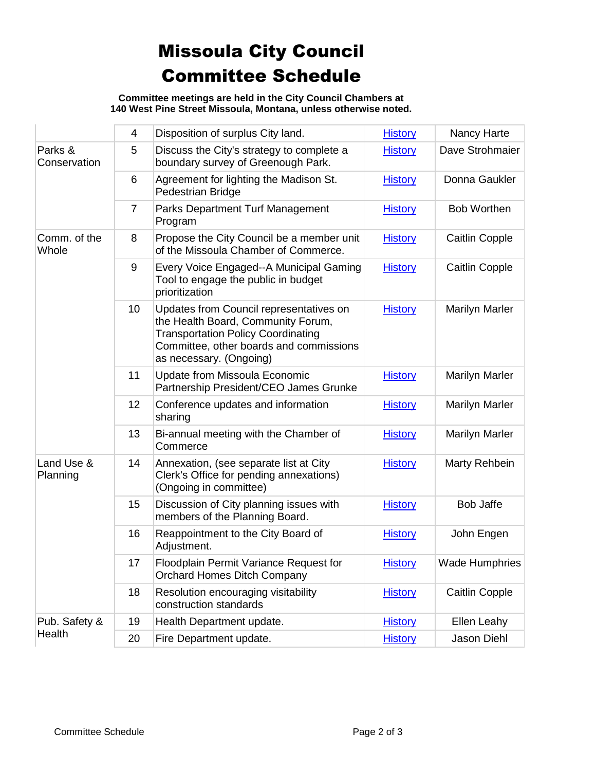## Missoula City Council Committee Schedule

**Committee meetings are held in the City Council Chambers at 140 West Pine Street Missoula, Montana, unless otherwise noted.**

|                         | 4              | Disposition of surplus City land.                                                                                                                                                                | <b>History</b> | Nancy Harte           |
|-------------------------|----------------|--------------------------------------------------------------------------------------------------------------------------------------------------------------------------------------------------|----------------|-----------------------|
| Parks &<br>Conservation | 5              | Discuss the City's strategy to complete a<br>boundary survey of Greenough Park.                                                                                                                  | <b>History</b> | Dave Strohmaier       |
|                         | 6              | Agreement for lighting the Madison St.<br>Pedestrian Bridge                                                                                                                                      | <b>History</b> | Donna Gaukler         |
|                         | $\overline{7}$ | <b>Parks Department Turf Management</b><br>Program                                                                                                                                               | <b>History</b> | <b>Bob Worthen</b>    |
| Comm. of the<br>Whole   | 8              | Propose the City Council be a member unit<br>of the Missoula Chamber of Commerce.                                                                                                                | <b>History</b> | <b>Caitlin Copple</b> |
|                         | 9              | Every Voice Engaged--A Municipal Gaming<br>Tool to engage the public in budget<br>prioritization                                                                                                 | <b>History</b> | Caitlin Copple        |
|                         | 10             | Updates from Council representatives on<br>the Health Board, Community Forum,<br><b>Transportation Policy Coordinating</b><br>Committee, other boards and commissions<br>as necessary. (Ongoing) | <b>History</b> | <b>Marilyn Marler</b> |
|                         | 11             | <b>Update from Missoula Economic</b><br>Partnership President/CEO James Grunke                                                                                                                   | <b>History</b> | <b>Marilyn Marler</b> |
|                         | 12             | Conference updates and information<br>sharing                                                                                                                                                    | <b>History</b> | <b>Marilyn Marler</b> |
|                         | 13             | Bi-annual meeting with the Chamber of<br>Commerce                                                                                                                                                | <b>History</b> | <b>Marilyn Marler</b> |
| Land Use &<br>Planning  | 14             | Annexation, (see separate list at City<br>Clerk's Office for pending annexations)<br>(Ongoing in committee)                                                                                      | <b>History</b> | Marty Rehbein         |
|                         | 15             | Discussion of City planning issues with<br>members of the Planning Board.                                                                                                                        | <b>History</b> | <b>Bob Jaffe</b>      |
|                         | 16             | Reappointment to the City Board of<br>Adjustment.                                                                                                                                                | <b>History</b> | John Engen            |
|                         | 17             | Floodplain Permit Variance Request for<br><b>Orchard Homes Ditch Company</b>                                                                                                                     | <b>History</b> | <b>Wade Humphries</b> |
|                         | 18             | Resolution encouraging visitability<br>construction standards                                                                                                                                    | <b>History</b> | <b>Caitlin Copple</b> |
| Pub. Safety &           | 19             | Health Department update.                                                                                                                                                                        | <b>History</b> | Ellen Leahy           |
| Health                  | 20             | Fire Department update.                                                                                                                                                                          | <b>History</b> | Jason Diehl           |